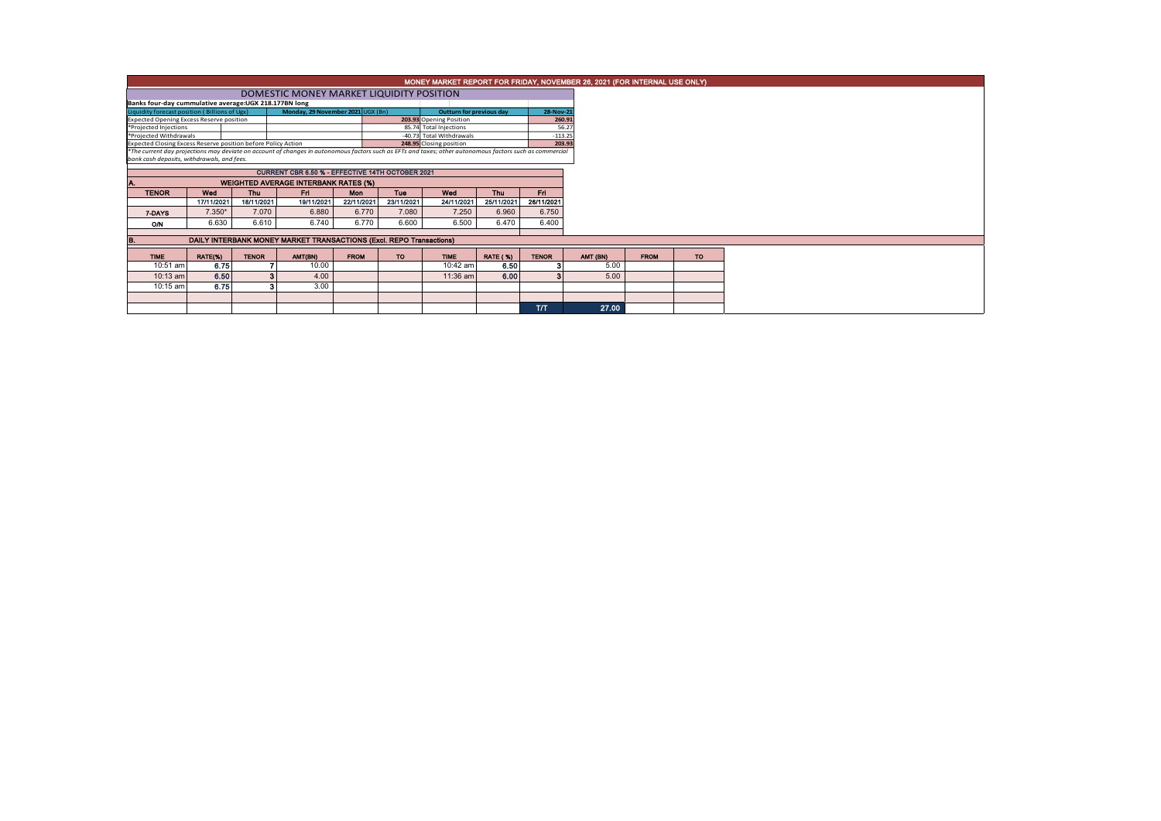|                                                                                                                                                                                                                                                                |                                                         |              |                                                                     |                                 |            |                          |                 |              |  |          | MONEY MARKET REPORT FOR FRIDAY, NOVEMBER 26, 2021 (FOR INTERNAL USE ONLY) |  |  |  |
|----------------------------------------------------------------------------------------------------------------------------------------------------------------------------------------------------------------------------------------------------------------|---------------------------------------------------------|--------------|---------------------------------------------------------------------|---------------------------------|------------|--------------------------|-----------------|--------------|--|----------|---------------------------------------------------------------------------|--|--|--|
|                                                                                                                                                                                                                                                                |                                                         |              |                                                                     |                                 |            |                          |                 |              |  |          |                                                                           |  |  |  |
| Banks four-day cummulative average: UGX 218.177BN long                                                                                                                                                                                                         |                                                         |              |                                                                     |                                 |            |                          |                 |              |  |          |                                                                           |  |  |  |
| Liquidity forecast position (Billions of Ugx)                                                                                                                                                                                                                  |                                                         |              | Monday, 29 November 2021 UGX (Bn)                                   | <b>Outturn for previous day</b> | 28-Nov-21  |                          |                 |              |  |          |                                                                           |  |  |  |
| <b>Expected Opening Excess Reserve position</b>                                                                                                                                                                                                                |                                                         |              |                                                                     |                                 |            | 203.93 Opening Position  |                 | 260.91       |  |          |                                                                           |  |  |  |
| *Projected Injections                                                                                                                                                                                                                                          |                                                         |              |                                                                     |                                 |            | 85.74 Total Injections   |                 | 56.27        |  |          |                                                                           |  |  |  |
| *Projected Withdrawals                                                                                                                                                                                                                                         |                                                         |              |                                                                     |                                 |            | -40.73 Total Withdrawals |                 | $-113.25$    |  |          |                                                                           |  |  |  |
| Expected Closing Excess Reserve position before Policy Action<br>248.95 Closing position<br>203.93<br>*The current day projections may deviate on account of changes in autonomous factors such as EFTs and taxes; other autonomous factors such as commercial |                                                         |              |                                                                     |                                 |            |                          |                 |              |  |          |                                                                           |  |  |  |
|                                                                                                                                                                                                                                                                |                                                         |              |                                                                     |                                 |            |                          |                 |              |  |          |                                                                           |  |  |  |
| bank cash deposits, withdrawals, and fees.                                                                                                                                                                                                                     |                                                         |              |                                                                     |                                 |            |                          |                 |              |  |          |                                                                           |  |  |  |
|                                                                                                                                                                                                                                                                | <b>CURRENT CBR 6.50 % - EFFECTIVE 14TH OCTOBER 2021</b> |              |                                                                     |                                 |            |                          |                 |              |  |          |                                                                           |  |  |  |
|                                                                                                                                                                                                                                                                | <b>WEIGHTED AVERAGE INTERBANK RATES (%)</b>             |              |                                                                     |                                 |            |                          |                 |              |  |          |                                                                           |  |  |  |
| <b>TENOR</b>                                                                                                                                                                                                                                                   | Wed                                                     | <b>Thu</b>   | Fri.                                                                | Mon                             | <b>Tue</b> | Wed                      | Thu             | Eri.         |  |          |                                                                           |  |  |  |
|                                                                                                                                                                                                                                                                | 17/11/2021                                              | 18/11/2021   | 19/11/2021                                                          | 22/11/2021                      | 23/11/2021 | 24/11/2021               | 25/11/2021      | 26/11/2021   |  |          |                                                                           |  |  |  |
| 7-DAYS                                                                                                                                                                                                                                                         | $7.350*$                                                | 7.070        | 6.880                                                               | 6.770                           | 7.080      | 7.250                    | 6.960           | 6.750        |  |          |                                                                           |  |  |  |
| ON                                                                                                                                                                                                                                                             | 6.630                                                   | 6.610        | 6.740                                                               | 6.770                           | 6.600      | 6.500                    | 6.470           | 6.400        |  |          |                                                                           |  |  |  |
|                                                                                                                                                                                                                                                                |                                                         |              |                                                                     |                                 |            |                          |                 |              |  |          |                                                                           |  |  |  |
|                                                                                                                                                                                                                                                                |                                                         |              | DAILY INTERBANK MONEY MARKET TRANSACTIONS (Excl. REPO Transactions) |                                 |            |                          |                 |              |  |          |                                                                           |  |  |  |
| <b>TIME</b>                                                                                                                                                                                                                                                    | RATE(%)                                                 | <b>TENOR</b> | AMT(BN)                                                             | <b>FROM</b>                     | TO:        | <b>TIME</b>              | <b>RATE (%)</b> | <b>TENOR</b> |  | AMT (BN) | <b>FROM</b>                                                               |  |  |  |
| 10:51 am                                                                                                                                                                                                                                                       | 6.75                                                    |              | 10.00                                                               |                                 |            | 10:42 am                 | 6.50            |              |  | 5.00     |                                                                           |  |  |  |
| 10:13 am                                                                                                                                                                                                                                                       | 6.50                                                    | 3            | 4.00                                                                |                                 |            | 11:36 am                 | 6.00            |              |  | 5.00     |                                                                           |  |  |  |
| 10:15 am                                                                                                                                                                                                                                                       | 6.75                                                    | з            | 3.00                                                                |                                 |            |                          |                 |              |  |          |                                                                           |  |  |  |
|                                                                                                                                                                                                                                                                |                                                         |              |                                                                     |                                 |            |                          |                 |              |  |          |                                                                           |  |  |  |
|                                                                                                                                                                                                                                                                |                                                         |              |                                                                     |                                 |            |                          |                 | <b>T/T</b>   |  | 27.00    |                                                                           |  |  |  |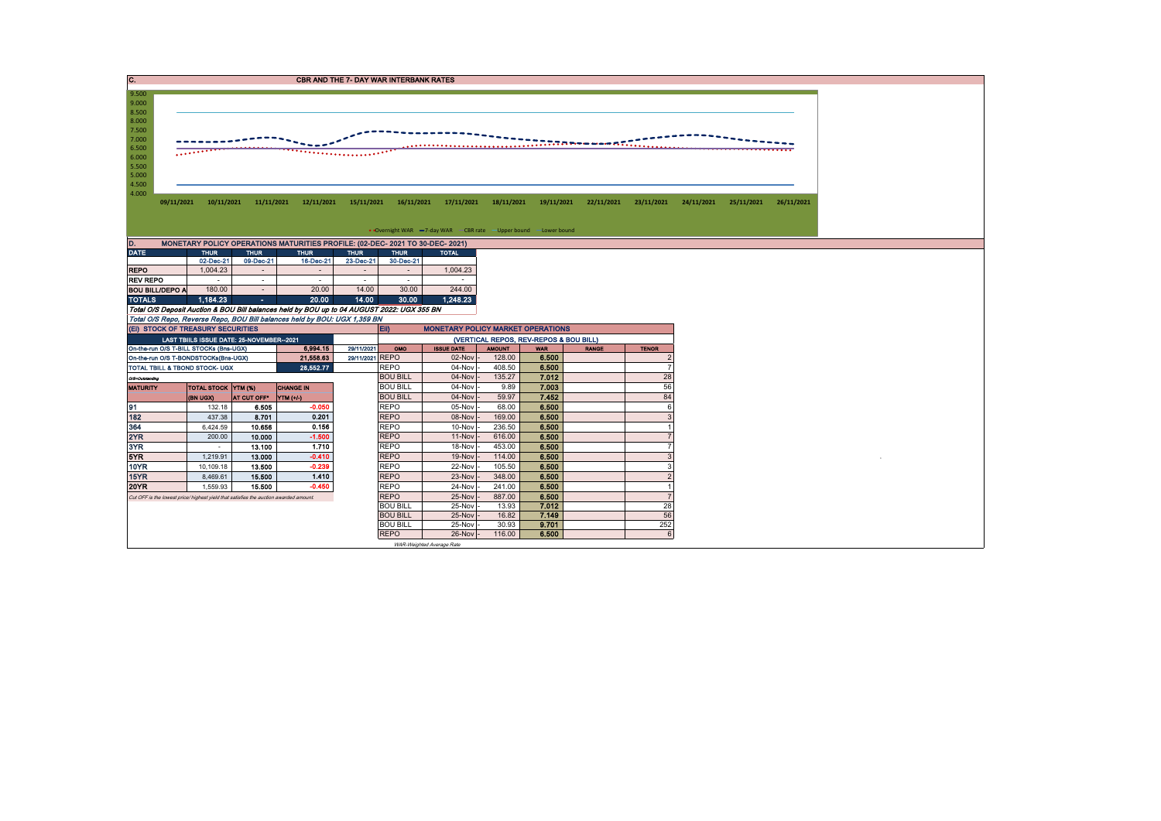| C.                                                                   |                                                                                       |                                           |                         |                                                                                            |                     | <b>CBR AND THE 7- DAY WAR INTERBANK RATES</b> |                                                                   |                                        |                |                                                                  |              |            |            |            |
|----------------------------------------------------------------------|---------------------------------------------------------------------------------------|-------------------------------------------|-------------------------|--------------------------------------------------------------------------------------------|---------------------|-----------------------------------------------|-------------------------------------------------------------------|----------------------------------------|----------------|------------------------------------------------------------------|--------------|------------|------------|------------|
| 9.500<br>9.000<br>8.500                                              |                                                                                       |                                           |                         |                                                                                            |                     |                                               |                                                                   |                                        |                |                                                                  |              |            |            |            |
| 8.000<br>7.500<br>7.000<br>6.500<br>6.000<br>5.500<br>5.000<br>4.500 | $\cdots$                                                                              |                                           |                         |                                                                                            |                     |                                               |                                                                   |                                        |                | $\ldots$ . $\ldots$ . $\ldots$ is the set of $\ldots$ . $\ldots$ |              |            |            |            |
| 4.000                                                                | 09/11/2021                                                                            | 10/11/2021 11/11/2021                     |                         | 12/11/2021                                                                                 | 15/11/2021          | 16/11/2021                                    | 17/11/2021                                                        | 18/11/2021                             | 19/11/2021     | 22/11/2021                                                       | 23/11/2021   | 24/11/2021 | 25/11/2021 | 26/11/2021 |
|                                                                      |                                                                                       |                                           |                         |                                                                                            |                     |                                               |                                                                   |                                        |                |                                                                  |              |            |            |            |
|                                                                      |                                                                                       |                                           |                         |                                                                                            |                     |                                               | • Overnight WAR -7-day WAR - CBR rate - Upper bound - Lower bound |                                        |                |                                                                  |              |            |            |            |
| D.                                                                   |                                                                                       |                                           |                         | MONETARY POLICY OPERATIONS MATURITIES PROFILE: (02-DEC- 2021 TO 30-DEC- 2021)              |                     |                                               |                                                                   |                                        |                |                                                                  |              |            |            |            |
| DATE,                                                                |                                                                                       | <b>THUR</b>                               | <b>THUR</b>             | <b>THUR</b>                                                                                | <b>THUR</b>         | <b>THUR</b>                                   | <b>TOTAL</b>                                                      |                                        |                |                                                                  |              |            |            |            |
| <b>REPO</b>                                                          |                                                                                       | 02-Dec-21<br>1,004.23                     | 09-Dec-21<br>$\sim$     | 16-Dec-21<br>$\sim$                                                                        | 23-Dec-21<br>$\sim$ | 30-Dec-21<br>$\sim$                           | 1,004.23                                                          |                                        |                |                                                                  |              |            |            |            |
| <b>REV REPO</b>                                                      |                                                                                       | $\sim$                                    | $\sim$                  | $\sim$                                                                                     | $\sim$              | $\sim$                                        | $\sim$                                                            |                                        |                |                                                                  |              |            |            |            |
| <b>BOU BILL/DEPO A</b>                                               |                                                                                       | 180.00                                    | $\sim$                  | 20.00                                                                                      | 14.00               | 30.00                                         | 244.00                                                            |                                        |                |                                                                  |              |            |            |            |
| <b>TOTALS</b>                                                        |                                                                                       | 1.184.23                                  | $\omega_{\rm{eff}}$     | 20.00                                                                                      | 14.00               | 30.00                                         | 1.248.23                                                          |                                        |                |                                                                  |              |            |            |            |
|                                                                      |                                                                                       |                                           |                         | Total O/S Deposit Auction & BOU Bill balances held by BOU up to 04 AUGUST 2022: UGX 355 BN |                     |                                               |                                                                   |                                        |                |                                                                  |              |            |            |            |
|                                                                      | (EI) STOCK OF TREASURY SECURITIES                                                     |                                           |                         | Total O/S Repo, Reverse Repo, BOU Bill balances held by BOU: UGX 1,359 BN                  |                     | EII)                                          | <b>MONETARY POLICY MARKET OPERATIONS</b>                          |                                        |                |                                                                  |              |            |            |            |
|                                                                      |                                                                                       | LAST TBIILS ISSUE DATE: 25-NOVEMBER--2021 |                         |                                                                                            |                     |                                               |                                                                   | (VERTICAL REPOS, REV-REPOS & BOU BILL) |                |                                                                  |              |            |            |            |
|                                                                      | On-the-run O/S T-BILL STOCKs (Bns-UGX)                                                |                                           |                         | 6.994.15                                                                                   | 29/11/2021          | OMO                                           | <b>ISSUE DATE</b>                                                 | <b>AMOUNT</b>                          | <b>WAR</b>     | <b>RANGE</b>                                                     | <b>TENOR</b> |            |            |            |
|                                                                      | On-the-run O/S T-BONDSTOCKs(Bns-UGX)                                                  |                                           |                         | 21,558.63                                                                                  | 29/11/2021 REPO     |                                               | 02-Nov                                                            | 128.00                                 | 6.500          |                                                                  |              |            |            |            |
|                                                                      | TOTAL TBILL & TBOND STOCK- UGX                                                        |                                           |                         | 28,552.77                                                                                  |                     | <b>REPO</b>                                   | 04-Nov                                                            | 408.50<br>135.27                       | 6.500<br>7.012 |                                                                  | 28           |            |            |            |
| O/S-Outstanding<br><b>MATURITY</b>                                   |                                                                                       | <b>TOTAL STOCK YTM (%)</b>                |                         | <b>CHANGE IN</b>                                                                           |                     | <b>BOU BILL</b><br><b>BOU BILL</b>            | 04-Nov<br>04-Nov                                                  | 9.89                                   | 7.003          |                                                                  | 56           |            |            |            |
|                                                                      |                                                                                       | (BN UGX)                                  | AT CUT OFF <sup>®</sup> | YTM (+/-)                                                                                  |                     | <b>BOU BILL</b>                               | 04-Nov                                                            | 59.97                                  | 7.452          |                                                                  | 84           |            |            |            |
| 91                                                                   |                                                                                       | 132.18                                    | 6.505                   | $-0.050$                                                                                   |                     | <b>REPO</b>                                   | 05-Nov                                                            | 68.00                                  | 6.500          |                                                                  | 6            |            |            |            |
| 182                                                                  |                                                                                       |                                           |                         |                                                                                            |                     |                                               |                                                                   |                                        |                |                                                                  |              |            |            |            |
|                                                                      |                                                                                       | 437.38                                    | 8.701                   | 0.201                                                                                      |                     | <b>REPO</b>                                   | 08-Nov                                                            | 169.00                                 | 6.500          |                                                                  |              |            |            |            |
| 364                                                                  |                                                                                       | 6,424.59                                  | 10,656                  | 0.156                                                                                      |                     | <b>REPO</b>                                   | 10-Nov                                                            | 236.50                                 | 6.500          |                                                                  |              |            |            |            |
| 2YR                                                                  |                                                                                       | 200.00                                    | 10.000                  | $-1.500$                                                                                   |                     | <b>REPO</b>                                   | 11-Nov                                                            | 616.00                                 | 6,500          |                                                                  |              |            |            |            |
| 3YR                                                                  |                                                                                       | $\sim$                                    | 13.100                  | 1.710                                                                                      |                     | <b>REPO</b>                                   | 18-Nov                                                            | 453.00                                 | 6.500          |                                                                  |              |            |            |            |
| 5YR                                                                  |                                                                                       | 1,219.91                                  | 13.000                  | $-0.410$                                                                                   |                     | <b>REPO</b>                                   | 19-Nov                                                            | 114.00                                 | 6.500          |                                                                  |              |            |            |            |
| <b>10YR</b>                                                          |                                                                                       | 10,109.18                                 | 13.500                  | $-0.239$                                                                                   |                     | <b>REPO</b>                                   | 22-Nov                                                            | 105.50                                 | 6.500          |                                                                  |              |            |            |            |
| 15YR<br><b>20YR</b>                                                  |                                                                                       | 8,469.61<br>1,559.93                      | 15,500<br>15.500        | 1.410<br>$-0.450$                                                                          |                     | <b>REPO</b><br><b>REPO</b>                    | 23-Nov<br>24-Nov                                                  | 348.00<br>241.00                       | 6.500<br>6.500 |                                                                  |              |            |            |            |
|                                                                      | Cut OFF is the lowest price/ highest yield that satisfies the auction awarded amount. |                                           |                         |                                                                                            |                     | <b>REPO</b>                                   | 25-Nov                                                            | 887.00                                 | 6.500          |                                                                  |              |            |            |            |
|                                                                      |                                                                                       |                                           |                         |                                                                                            |                     | <b>BOU BILL</b>                               | 25-Nov                                                            | 13.93                                  | 7.012          |                                                                  | 28           |            |            |            |
|                                                                      |                                                                                       |                                           |                         |                                                                                            |                     | <b>BOU BILL</b>                               | 25-Nov                                                            | 16.82                                  | 7.149          |                                                                  | 56           |            |            |            |
|                                                                      |                                                                                       |                                           |                         |                                                                                            |                     | <b>BOU BILL</b><br><b>REPO</b>                | 25-Nov<br>26-Nov                                                  | 30.93<br>116.00                        | 9.701<br>6.500 |                                                                  | 252<br>6     |            |            |            |